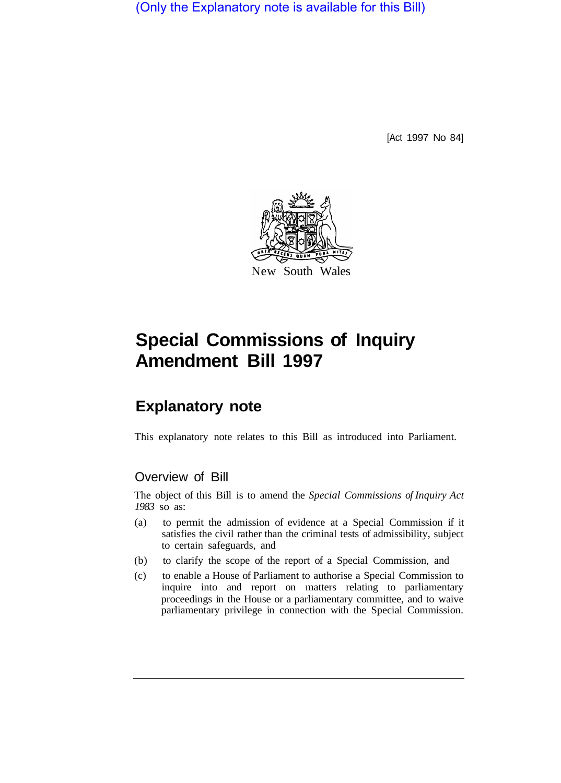(Only the Explanatory note is available for this Bill)

[Act 1997 No 84]



## **Special Commissions of Inquiry Amendment Bill 1997**

## **Explanatory note**

This explanatory note relates to this Bill as introduced into Parliament.

## Overview of Bill

The object of this Bill is to amend the *Special Commissions of Inquiry Act 1983* so as:

- (a) to permit the admission of evidence at a Special Commission if it satisfies the civil rather than the criminal tests of admissibility, subject to certain safeguards, and
- (b) to clarify the scope of the report of a Special Commission, and
- (c) to enable a House of Parliament to authorise a Special Commission to inquire into and report on matters relating to parliamentary proceedings in the House or a parliamentary committee, and to waive parliamentary privilege in connection with the Special Commission.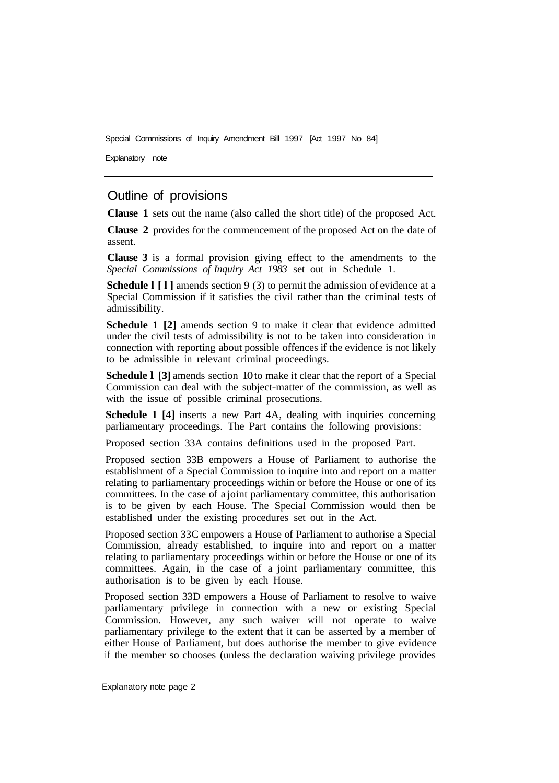Special Commissions of Inquiry Amendment Bill 1997 [Act 1997 No 84]

Explanatory note

## Outline of provisions

**Clause 1** sets out the name (also called the short title) of the proposed Act.

**Clause 2** provides for the commencement of the proposed Act on the date of assent.

**Clause 3** is a formal provision giving effect to the amendments to the *Special Commissions of Inquiry Act 1983* set out in Schedule 1.

**Schedule 1** [1] amends section 9 (3) to permit the admission of evidence at a Special Commission if it satisfies the civil rather than the criminal tests of admissibility.

**Schedule 1 [2]** amends section 9 to make it clear that evidence admitted under the civil tests of admissibility is not to be taken into consideration in connection with reporting about possible offences if the evidence is not likely to be admissible in relevant criminal proceedings.

**Schedule I [3]** amends section 10 to make it clear that the report of a Special Commission can deal with the subject-matter of the commission, as well as with the issue of possible criminal prosecutions.

**Schedule 1 [4]** inserts a new Part 4A, dealing with inquiries concerning parliamentary proceedings. The Part contains the following provisions:

Proposed section 33A contains definitions used in the proposed Part.

Proposed section 33B empowers a House of Parliament to authorise the establishment of a Special Commission to inquire into and report on a matter relating to parliamentary proceedings within or before the House or one of its committees. In the case of a joint parliamentary committee, this authorisation is to be given by each House. The Special Commission would then be established under the existing procedures set out in the Act.

Proposed section 33C empowers a House of Parliament to authorise a Special Commission, already established, to inquire into and report on a matter relating to parliamentary proceedings within or before the House or one of its committees. Again, in the case of a joint parliamentary committee, this authorisation is to be given by each House.

Proposed section 33D empowers a House of Parliament to resolve to waive parliamentary privilege in connection with a new or existing Special Commission. However, any such waiver will not operate to waive parliamentary privilege to the extent that it can be asserted by a member of either House of Parliament, but does authorise the member to give evidence if the member so chooses (unless the declaration waiving privilege provides